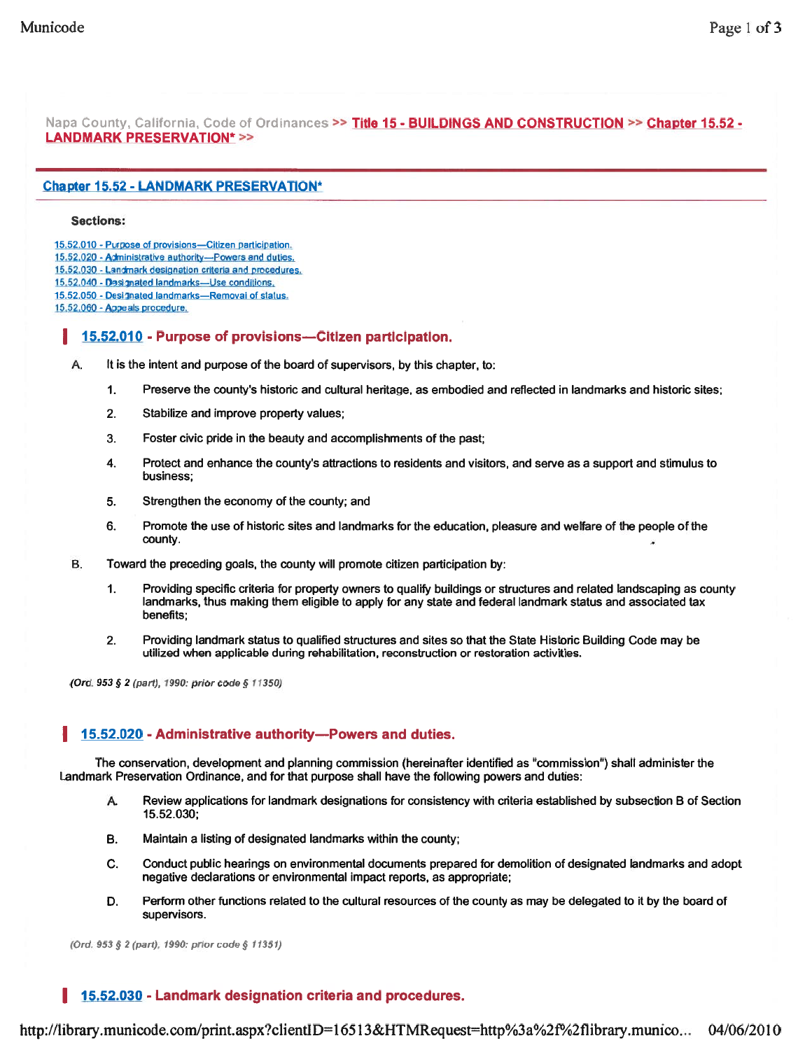Napa County, California, Code of Ordinances >> Title 15 - BUILDINGS AND CONSTRUCTION >> Chapter 15.52 -LANDMARK PRESERVATION\* >>

#### **Chapter 15.52 - LANDMARK PRESERVATION\***

#### Sections:

15.52.010 - Purpose of provisions-Citizen participation.

- 15.52.020 Administrative authority—Powers and duties.
- 15,52,030 Landmark designation criteria and procedures.
- 15,52.040 Designated landmarks-Use conditions.
- 15.52.050 -Designated landmarks—Removal of status.

15.52.060 - Appeals procedure.

### I 15.52.010 - Purpose of provisions—Citizen participation.

- A. It is the intent and purpose of the board of supervisors, by this chapter, to:
	- 1. Preserve the county's historic and cultural heritage, as embodied and reflected in landmarks and historic sites;
	- 2. Stabilize and improve property values;
	- 3. Foster civic pride in the beauty and accomplishments of the past;
	- 4. Protect and enhance the county's attractions to residents and visitors, and serve as <sup>a</sup> suppor<sup>t</sup> and stimulus to business;
	- 5. Strengthen the economy of the county; and
	- 6. Promote the use of historic sites and landmarks for the education, pleasure and welfare of the people of the county.
- B. Toward the preceding goals, the county will promote citizen participation by:
	- 1. Providing specific criteria for property owners to qualify buildings or structures and related landscaping as county landmarks, thus making them eligible to apply for any state and federal landmark status and associated tax benefits;
	- 2. Providing landmark status to qualified structures and sites so that the State Historic Building Code may be utilized when applicable during rehabilitation, reconstruction or restoration activities.

(Ord. 953 § 2 (part), 1990: prior code § 11350)

### 15.52.020 - Administrative authority—Powers and duties.

The conservation, development and planning commission (hereinafter identified as "commission") shall administer the Landmark Preservation Ordinance, and for that purpose shall have the following powers and duties:

- A. Review applications for landmark designations for consistency with criteria established by subsection B of Section 15.52.030;
- B. Maintain <sup>a</sup> listing of designated landmarks within the county;
- C. Conduct public hearings on environmental documents prepared for demolition of designated landmarks and adopt negative declarations or environmental impact reports, as appropriate;
- D. Perform other functions related to the cultural resources of the county as may be delegated to it by the board of supervisors.

(Ord. <sup>953</sup> § 2(part). 1990: prior code § 11351)

## I 15.52.030 - Landmark designation criteria and procedures.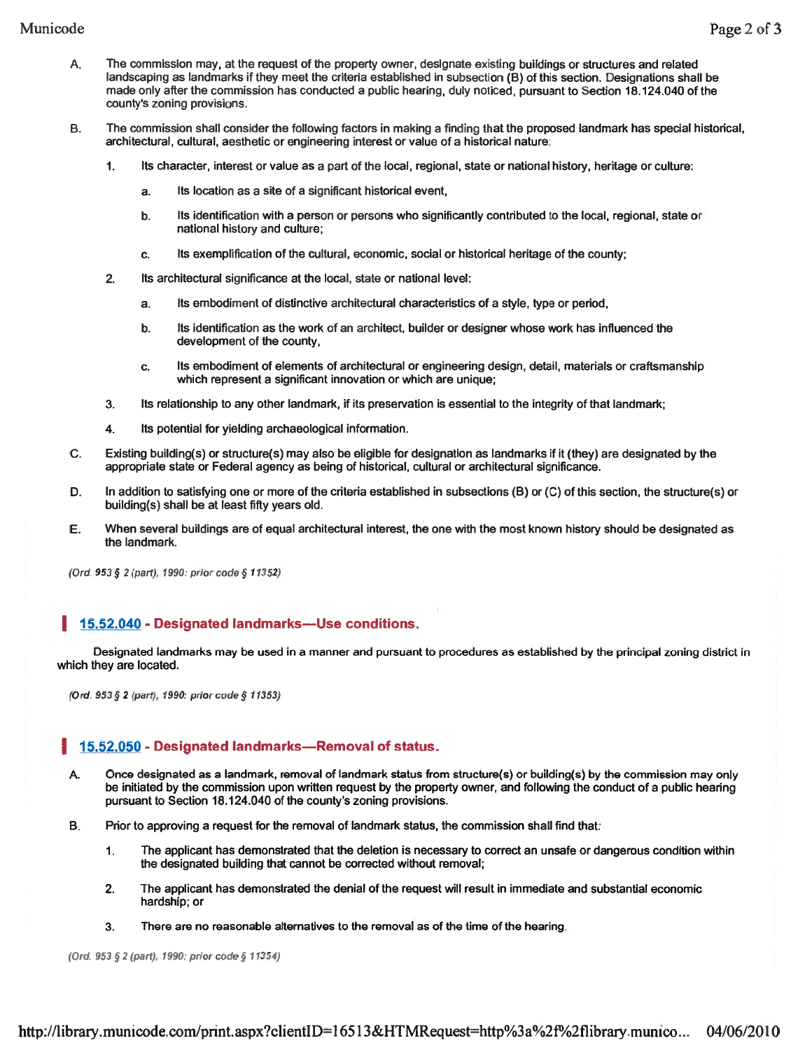- A. The commission may, at the reques<sup>t</sup> of the property owner, designate existing buildings or structures and related landscaping as landmarks if they meet the criteria established in subsection (B) of this section. Designations shall be made only after the commission has conducted <sup>a</sup> public hearing, duly noticed, pursuan<sup>t</sup> to Section 18.124.040 of the county's zoning provisions.
- B. The commission shall consider the following factors in making <sup>a</sup> finding that the proposed landmark has special historical, architectural, cultural, aesthetic or engineering interest or value of <sup>a</sup> historical nature:
	- 1. Its character, interest or value as <sup>a</sup> par<sup>t</sup> of the local, regional, state or national history, heritage or culture:
		- a. Its location as <sup>a</sup> site of <sup>a</sup> significant historical event,
		- b. Its identification with <sup>a</sup> person or persons who significantly contributed to the local, regional, state or national history and culture;
		- c. Its exemplification of the cultural, economic, social or historical heritage of the county;
	- 2. Its architectural significance at the local, state or national level:
		- a. Its embodiment of distinctive architectural characteristics of <sup>a</sup> style, type or period,
		- b. Its identification as the work of an architect, builder or designer whose work has influenced the development of the county,
		- c. Its embodiment of elements of architectural or engineering design, detail, materials or craftsmanship which represen<sup>t</sup> <sup>a</sup> significant innovation or which are unique;
	- 3. Its relationship to any other landmark, if its preservation is essential to the integrity of that landmark;
	- 4. Its potential for yielding archaeological information.
- C. Existing building(s) or structure(s) may also be eligible for designation as landmarks if it (they) are designated by the appropriate state or Federal agency as being of historical, cultural or architectural significance.
- D. In addition to satisfying one or more of the criteria established in subsections (B) or (C) of this section, the structure(s) or building(s) shall be at least fifty years old.
- E. When several buildings are of equal architectural interest, the one with the most known history should be designated as the landmark.

(Ord. 953 § 2 (part), 1990: prior code § 11352)

# I 15.52.040 - Designated landmarks—Use conditions.

Designated landmarks may be used in <sup>a</sup> manner and pursuan<sup>t</sup> to procedures as established by the principal zoning district in which they are located.

(Ord. <sup>953</sup> § <sup>2</sup> (part), 1990: prior code § 11353)

## I 15.52.050 - Designated landmarks—Removal of status.

- A. Once designated as <sup>a</sup> landmark, removal of landmark status from structure(s) or building(s) by the commission may only be initiated by the commission upon written reques<sup>t</sup> by the property owner, and following the conduct of <sup>a</sup> public hearing pursuan<sup>t</sup> to Section 18.124.040 of the county's zoning provisions.
- B. Prior to approving <sup>a</sup> reques<sup>t</sup> for the removal of landmark status, the commission shall find that:
	- 1. The applicant has demonstrated that the deletion is necessary to correct an unsafe or dangerous condition within the designated building that cannot be corrected without removal;
	- 2. The applicant has demonstrated the denial of the reques<sup>t</sup> will result in immediate and substantial economic hardship; or
	- 3. There are no reasonable alternatives to the removal as of the time of the hearing.

(Ord. <sup>953</sup> § <sup>2</sup> (part), 1990: prior code § 11354)